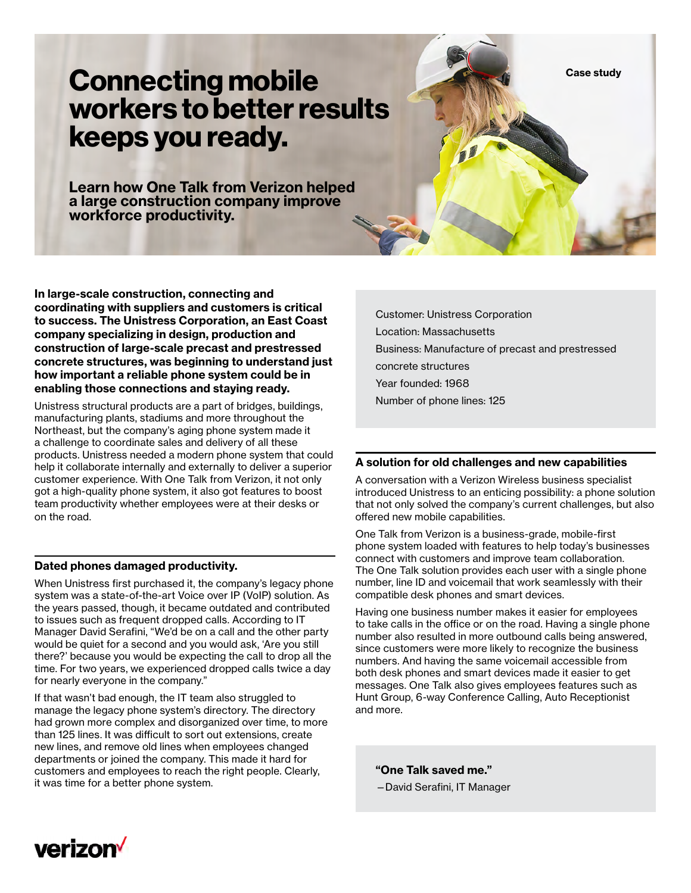# **Connecting mobile workers to better results keeps you ready.**

**Learn how One Talk from Verizon helped a large construction company improve workforce productivity.**

**In large-scale construction, connecting and coordinating with suppliers and customers is critical to success. The Unistress Corporation, an East Coast company specializing in design, production and construction of large-scale precast and prestressed concrete structures, was beginning to understand just how important a reliable phone system could be in enabling those connections and staying ready.**

Unistress structural products are a part of bridges, buildings, manufacturing plants, stadiums and more throughout the Northeast, but the company's aging phone system made it a challenge to coordinate sales and delivery of all these products. Unistress needed a modern phone system that could help it collaborate internally and externally to deliver a superior customer experience. With One Talk from Verizon, it not only got a high-quality phone system, it also got features to boost team productivity whether employees were at their desks or on the road.

## **Dated phones damaged productivity.**

When Unistress first purchased it, the company's legacy phone system was a state-of-the-art Voice over IP (VoIP) solution. As the years passed, though, it became outdated and contributed to issues such as frequent dropped calls. According to IT Manager David Serafini, "We'd be on a call and the other party would be quiet for a second and you would ask, 'Are you still there?' because you would be expecting the call to drop all the time. For two years, we experienced dropped calls twice a day for nearly everyone in the company."

If that wasn't bad enough, the IT team also struggled to manage the legacy phone system's directory. The directory had grown more complex and disorganized over time, to more than 125 lines. It was difficult to sort out extensions, create new lines, and remove old lines when employees changed departments or joined the company. This made it hard for customers and employees to reach the right people. Clearly, it was time for a better phone system.

Customer: Unistress Corporation Location: Massachusetts Business: Manufacture of precast and prestressed concrete structures Year founded: 1968 Number of phone lines: 125

**Case study**

## **A solution for old challenges and new capabilities**

A conversation with a Verizon Wireless business specialist introduced Unistress to an enticing possibility: a phone solution that not only solved the company's current challenges, but also offered new mobile capabilities.

One Talk from Verizon is a business-grade, mobile-first phone system loaded with features to help today's businesses connect with customers and improve team collaboration. The One Talk solution provides each user with a single phone number, line ID and voicemail that work seamlessly with their compatible desk phones and smart devices.

Having one business number makes it easier for employees to take calls in the office or on the road. Having a single phone number also resulted in more outbound calls being answered, since customers were more likely to recognize the business numbers. And having the same voicemail accessible from both desk phones and smart devices made it easier to get messages. One Talk also gives employees features such as Hunt Group, 6-way Conference Calling, Auto Receptionist and more.

**"One Talk saved me."**

—David Serafini, IT Manager